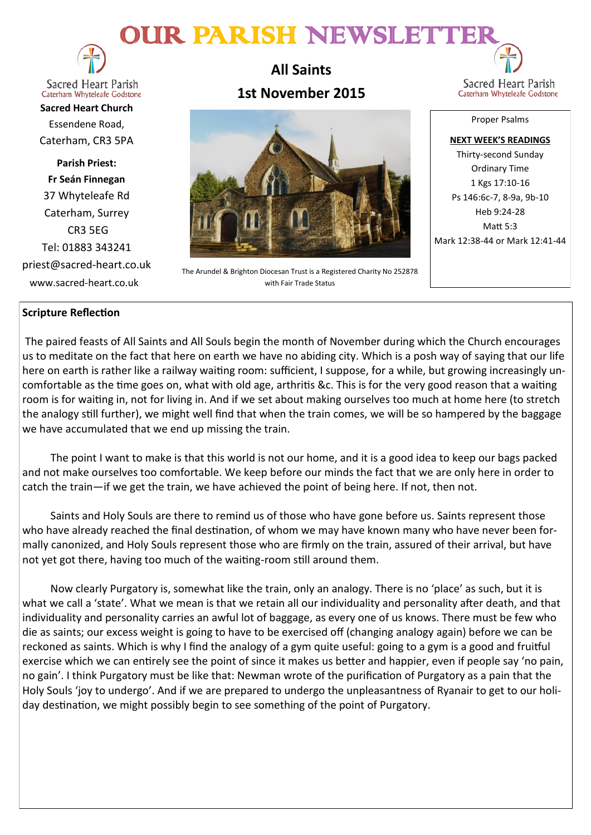# OUR PARISH NEWSLETTE



**Sacred Heart Parish** Caterham Whyteleafe Godstone

**Sacred Heart Church** Essendene Road, Caterham, CR3 5PA

**Parish Priest: Fr Seán Finnegan** 37 Whyteleafe Rd Caterham, Surrey CR3 5EG Tel: 01883 343241 priest@sacred-heart.co.uk www.sacred-heart.co.uk

**All Saints 1st November 2015**



The Arundel & Brighton Diocesan Trust is a Registered Charity No 252878 with Fair Trade Status

Sacred Heart Parish Caterham Whyteleafe Godstone

Proper Psalms

**NEXT WEEK'S READINGS** Thirty-second Sunday Ordinary Time 1 Kgs 17:10-16 Ps 146:6c-7, 8-9a, 9b-10 Heb 9:24-28  $M$ att  $5.3$ Mark 12:38-44 or Mark 12:41-44

# **Scripture Reflection**

The paired feasts of All Saints and All Souls begin the month of November during which the Church encourages us to meditate on the fact that here on earth we have no abiding city. Which is a posh way of saying that our life here on earth is rather like a railway waiting room: sufficient, I suppose, for a while, but growing increasingly uncomfortable as the time goes on, what with old age, arthritis &c. This is for the very good reason that a waiting room is for waiting in, not for living in. And if we set about making ourselves too much at home here (to stretch the analogy still further), we might well find that when the train comes, we will be so hampered by the baggage we have accumulated that we end up missing the train.

The point I want to make is that this world is not our home, and it is a good idea to keep our bags packed and not make ourselves too comfortable. We keep before our minds the fact that we are only here in order to catch the train—if we get the train, we have achieved the point of being here. If not, then not.

Saints and Holy Souls are there to remind us of those who have gone before us. Saints represent those who have already reached the final destination, of whom we may have known many who have never been formally canonized, and Holy Souls represent those who are firmly on the train, assured of their arrival, but have not yet got there, having too much of the waiting-room still around them.

Now clearly Purgatory is, somewhat like the train, only an analogy. There is no 'place' as such, but it is what we call a 'state'. What we mean is that we retain all our individuality and personality after death, and that individuality and personality carries an awful lot of baggage, as every one of us knows. There must be few who die as saints; our excess weight is going to have to be exercised off (changing analogy again) before we can be reckoned as saints. Which is why I find the analogy of a gym quite useful: going to a gym is a good and fruitful exercise which we can entirely see the point of since it makes us better and happier, even if people say 'no pain, no gain'. I think Purgatory must be like that: Newman wrote of the purification of Purgatory as a pain that the Holy Souls 'joy to undergo'. And if we are prepared to undergo the unpleasantness of Ryanair to get to our holiday destination, we might possibly begin to see something of the point of Purgatory.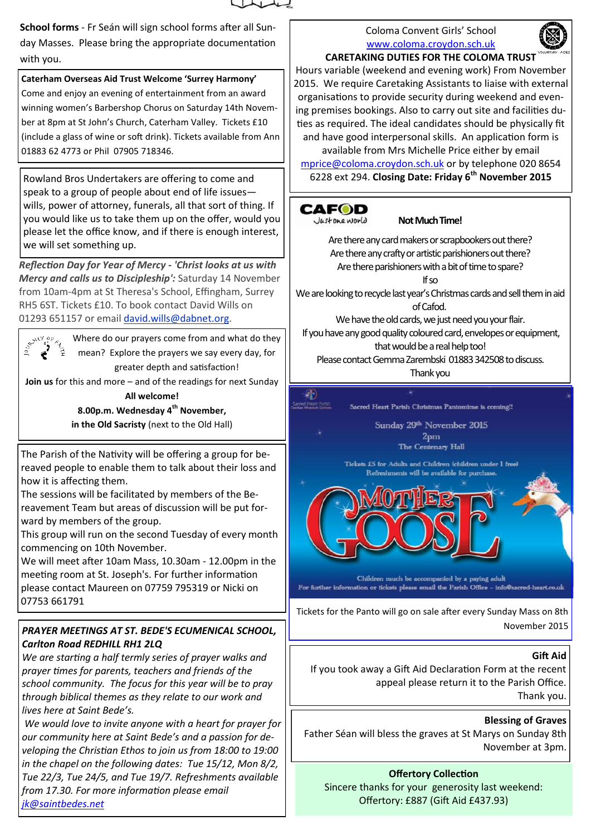

**School forms** - Fr Seán will sign school forms after all Sunday Masses. Please bring the appropriate documentation with you.

## **Caterham Overseas Aid Trust Welcome 'Surrey Harmony'**

Come and enjoy an evening of entertainment from an award winning women's Barbershop Chorus on Saturday 14th November at 8pm at St John's Church, Caterham Valley. Tickets £10 (include a glass of wine or soft drink). Tickets available from Ann 01883 62 4773 or Phil 07905 718346.

Rowland Bros Undertakers are offering to come and speak to a group of people about end of life issues wills, power of attorney, funerals, all that sort of thing. If you would like us to take them up on the offer, would you please let the office know, and if there is enough interest, we will set something up.

*Reflection Day for Year of Mercy - 'Christ looks at us with Mercy and calls us to Discipleship':* Saturday 14 November from 10am-4pm at St Theresa's School, Effingham, Surrey RH5 6ST. Tickets £10. To book contact David Wills on 01293 651157 or email [david.wills@dabnet.org.](mailto:david.wills@dabnet.org?subject=Jeff%20Cavins%20Day%2014%20November)



Where do our prayers come from and what do they mean? Explore the prayers we say every day, for greater depth and satisfaction!

**Join us** for this and more – and of the readings for next Sunday **All welcome!** 

**8.00p.m. Wednesday 4th November,** 

**in the Old Sacristy** (next to the Old Hall)

The Parish of the Nativity will be offering a group for bereaved people to enable them to talk about their loss and how it is affecting them.

The sessions will be facilitated by members of the Bereavement Team but areas of discussion will be put forward by members of the group.

This group will run on the second Tuesday of every month commencing on 10th November.

We will meet after 10am Mass, 10.30am - 12.00pm in the meeting room at St. Joseph's. For further information please contact Maureen on 07759 795319 or Nicki on 07753 661791

# *PRAYER MEETINGS AT ST. BEDE'S ECUMENICAL SCHOOL, Carlton Road REDHILL RH1 2LQ*

*We are starting a half termly series of prayer walks and prayer times for parents, teachers and friends of the school community. The focus for this year will be to pray through biblical themes as they relate to our work and lives here at Saint Bede's.*

*We would love to invite anyone with a heart for prayer for our community here at Saint Bede's and a passion for developing the Christian Ethos to join us from 18:00 to 19:00 in the chapel on the following dates: Tue 15/12, Mon 8/2, Tue 22/3, Tue 24/5, and Tue 19/7. Refreshments available from 17.30. For more information please email [jk@saintbedes.net](mailto:jk@saintbedes.net)*

## Coloma Convent Girls' School [www.coloma.croydon.sch.uk](http://www.coloma.croydon.sch.uk/)



#### **CARETAKING DUTIES FOR THE COLOMA TRUST**

Hours variable (weekend and evening work) From November 2015. We require Caretaking Assistants to liaise with external organisations to provide security during weekend and evening premises bookings. Also to carry out site and facilities duties as required. The ideal candidates should be physically fit and have good interpersonal skills. An application form is

available from Mrs Michelle Price either by email [mprice@coloma.croydon.sch.uk](mailto:mprice@coloma.croydon.sch.uk) or by telephone 020 8654 6228 ext 294. **Closing Date: Friday 6th November 2015** 



**Not Much Time!**

Are there any card makers or scrapbookers out there? Are there any crafty or artistic parishioners out there? Are there parishioners with a bit of time to spare? If so

We are looking to recycle last year's Christmas cards and sell them in aid of Cafod.

We have the old cards, we just need you your flair.

If you have any good quality coloured card, envelopes or equipment, that would be a real help too!

Please contact Gemma Zarembski 01883 342508 to discuss.

Thank you



For further information or tickets please email the Parish Office - info@sacred-heart.co.uk

Tickets for the Panto will go on sale after every Sunday Mass on 8th November 2015

# **Gift Aid**

If you took away a Gift Aid Declaration Form at the recent appeal please return it to the Parish Office. Thank you.

**Blessing of Graves**

Father Séan will bless the graves at St Marys on Sunday 8th November at 3pm.

**Offertory Collection** Sincere thanks for your generosity last weekend: Offertory: £887 (Gift Aid £437.93)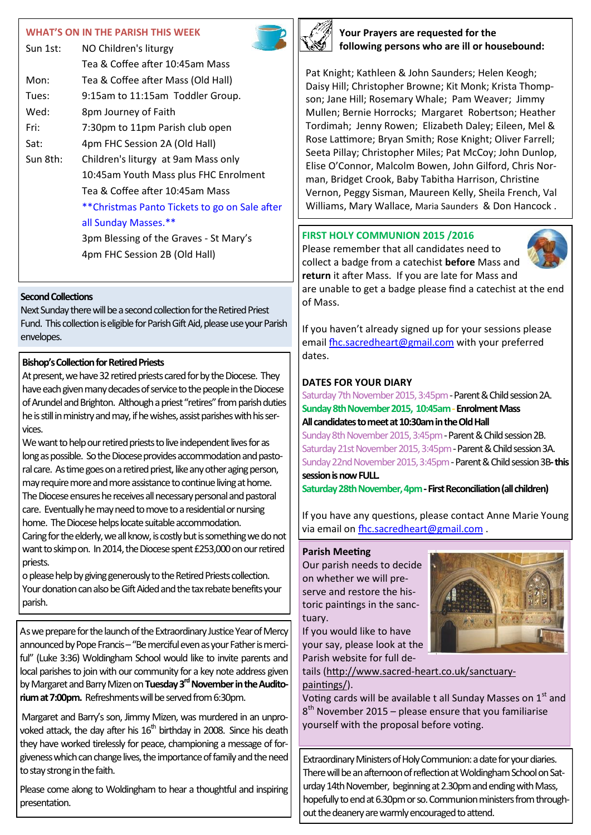#### **WHAT'S ON IN THE PARISH THIS WEEK**

| NO Children's liturgy                         |
|-----------------------------------------------|
| Tea & Coffee after 10:45am Mass               |
| Tea & Coffee after Mass (Old Hall)            |
| 9:15am to 11:15am Toddler Group.              |
| 8pm Journey of Faith                          |
| 7:30pm to 11pm Parish club open               |
| 4pm FHC Session 2A (Old Hall)                 |
| Children's liturgy at 9am Mass only           |
| 10:45am Youth Mass plus FHC Enrolment         |
| Tea & Coffee after 10:45am Mass               |
| **Christmas Panto Tickets to go on Sale after |
| all Sunday Masses.**                          |
| 3pm Blessing of the Graves - St Mary's        |
|                                               |

4pm FHC Session 2B (Old Hall)

#### **Second Collections**

Next Sunday there will be a second collection for the Retired Priest Fund. This collection is eligible for Parish Gift Aid, please use your Parish envelopes.

## **Bishop's Collection for Retired Priests**

At present, we have 32 retired priests cared for by the Diocese. They have each given many decades of service to the people in the Diocese of Arundel and Brighton. Although a priest "retires" from parish duties he is still in ministry and may, if he wishes, assist parishes with his services.

We want to help our retired priests to live independent lives for as long as possible. So the Diocese provides accommodation and pastoral care. As time goes on a retired priest, like any other aging person, may require more and more assistance to continue living at home. The Diocese ensures he receives all necessary personal and pastoral care. Eventually he may need to move to a residential or nursing home. The Diocese helps locate suitable accommodation. Caring for the elderly, we all know, is costly but is something we do not want to skimp on. In 2014, the Diocese spent £253,000 on our retired priests.

o please help by giving generously to the Retired Priests collection. Your donation can also be Gift Aided and the tax rebate benefits your parish.

As we prepare for the launch of the Extraordinary Justice Year of Mercy announced by Pope Francis - "Be merciful even as your Father is merciful" (Luke 3:36) Woldingham School would like to invite parents and local parishes to join with our community for a key note address given by Margaret and Barry Mizen on **Tuesday 3rdNovember in the Auditorium at 7:00pm.** Refreshments will be served from 6:30pm.

Margaret and Barry's son, Jimmy Mizen, was murdered in an unprovoked attack, the day after his  $16<sup>th</sup>$  birthday in 2008. Since his death they have worked tirelessly for peace, championing a message of forgiveness which can change lives, the importance of family and the need to stay strong in the faith.

Please come along to Woldingham to hear a thoughtful and inspiring presentation.



**Your Prayers are requested for the following persons who are ill or housebound:**

Pat Knight; Kathleen & John Saunders; Helen Keogh; Daisy Hill; Christopher Browne; Kit Monk; Krista Thompson; Jane Hill; Rosemary Whale; Pam Weaver; Jimmy Mullen; Bernie Horrocks; Margaret Robertson; Heather Tordimah; Jenny Rowen; Elizabeth Daley; Eileen, Mel & Rose Lattimore; Bryan Smith; Rose Knight; Oliver Farrell; Seeta Pillay; Christopher Miles; Pat McCoy; John Dunlop, Elise O'Connor, Malcolm Bowen, John Gilford, Chris Norman, Bridget Crook, Baby Tabitha Harrison, Christine Vernon, Peggy Sisman, Maureen Kelly, Sheila French, Val Williams, Mary Wallace, Maria Saunders & Don Hancock .

## **FIRST HOLY COMMUNION 2015 /2016**

Please remember that all candidates need to collect a badge from a catechist **before** Mass and **return** it after Mass. If you are late for Mass and are unable to get a badge please find a catechist at the end of Mass.

If you haven't already signed up for your sessions please email [fhc.sacredheart@gmail.com](mailto:fhc.sacredheart@gmail.com) with your preferred dates.

# **DATES FOR YOUR DIARY**

Saturday 7th November 2015, 3:45pm - Parent & Child session 2A. **Sunday 8th November 2015, 10:45am -Enrolment Mass All candidates to meet at 10:30am in the Old Hall**

Sunday 8th November 2015, 3:45pm - Parent & Child session 2B. Saturday 21st November 2015, 3:45pm - Parent & Child session 3A. Sunday 22nd November 2015, 3:45pm -Parent & Child session 3B**-this session is now FULL.**

**Saturday 28th November, 4pm -First Reconciliation (all children)**

If you have any questions, please contact Anne Marie Young via email on [fhc.sacredheart@gmail.com](mailto:fhc.sacredheart@gmail.com) .

## **Parish Meeting**

Our parish needs to decide on whether we will preserve and restore the historic paintings in the sanctuary.

If you would like to have your say, please look at the Parish website for full de-



tails (http://www.sacred-[heart.co.uk/sanctuary](http://sacred-heart.us7.list-manage.com/track/click?u=8106c5cc9588c330e5228c2d0&id=f54e7e39b6&e=1a5b3f14ba)[paintings/\)](http://sacred-heart.us7.list-manage.com/track/click?u=8106c5cc9588c330e5228c2d0&id=f54e7e39b6&e=1a5b3f14ba).

Voting cards will be available t all Sunday Masses on  $1<sup>st</sup>$  and 8<sup>th</sup> November 2015 – please ensure that you familiarise yourself with the proposal before voting.

Extraordinary Ministers of Holy Communion: a date for your diaries. There will be an afternoon of reflection at Woldingham School on Saturday 14th November, beginning at 2.30pm and ending with Mass, hopefully to end at 6.30pm or so. Communion ministers from throughout the deanery are warmly encouraged to attend.